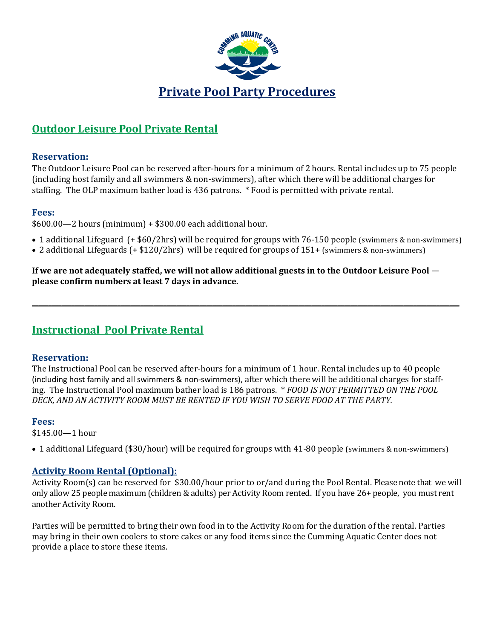

# **Outdoor Leisure Pool Private Rental**

#### **Reservation:**

The Outdoor Leisure Pool can be reserved after-hours for a minimum of 2 hours. Rental includes up to 75 people (including host family and all swimmers & non-swimmers), after which there will be additional charges for staffing. The OLP maximum bather load is 436 patrons. \* Food is permitted with private rental.

#### **Fees:**

\$600.00—2 hours (minimum) + \$300.00 each additional hour.

• 1 additional Lifeguard (+ \$60/2hrs) will be required for groups with 76-150 people (swimmers & non-swimmers)

**\_\_\_\_\_\_\_\_\_\_\_\_\_\_\_\_\_\_\_\_\_\_\_\_\_\_\_\_\_\_\_\_\_\_\_\_\_\_\_\_\_\_\_\_\_\_\_\_\_\_\_\_\_\_\_\_\_\_\_\_\_\_\_\_\_\_\_\_\_\_\_\_\_\_\_\_\_\_\_\_\_\_\_\_\_\_\_\_\_\_\_\_\_\_\_\_\_\_\_\_\_\_\_\_\_\_\_\_\_\_\_\_\_\_\_\_\_\_\_\_\_\_\_\_\_\_\_\_\_\_**

• 2 additional Lifeguards (+ \$120/2hrs) will be required for groups of 151+ (swimmers & non-swimmers)

**If we are not adequately staffed, we will not allow additional guests in to the Outdoor Leisure Pool please confirm numbers at least 7 days in advance.**

## **Instructional Pool Private Rental**

#### **Reservation:**

The Instructional Pool can be reserved after-hours for a minimum of 1 hour. Rental includes up to 40 people (including host family and all swimmers & non-swimmers), after which there will be additional charges for staffing. The Instructional Pool maximum bather load is 186 patrons. \* *FOOD IS NOT PERMITTED ON THE POOL DECK, AND AN ACTIVITY ROOM MUST BE RENTED IF YOU WISH TO SERVE FOOD AT THE PARTY.*

#### **Fees:**

\$145.00—1 hour

• 1 additional Lifeguard (\$30/hour) will be required for groups with 41-80 people (swimmers & non-swimmers)

#### **Activity Room Rental (Optional):**

Activity Room(s) can be reserved for \$30.00/hour prior to or/and during the Pool Rental. Please note that we will only allow 25 people maximum (children & adults) per Activity Room rented. If you have 26+ people, you must rent another Activity Room.

Parties will be permitted to bring their own food in to the Activity Room for the duration of the rental. Parties may bring in their own coolers to store cakes or any food items since the Cumming Aquatic Center does not provide a place to store these items.